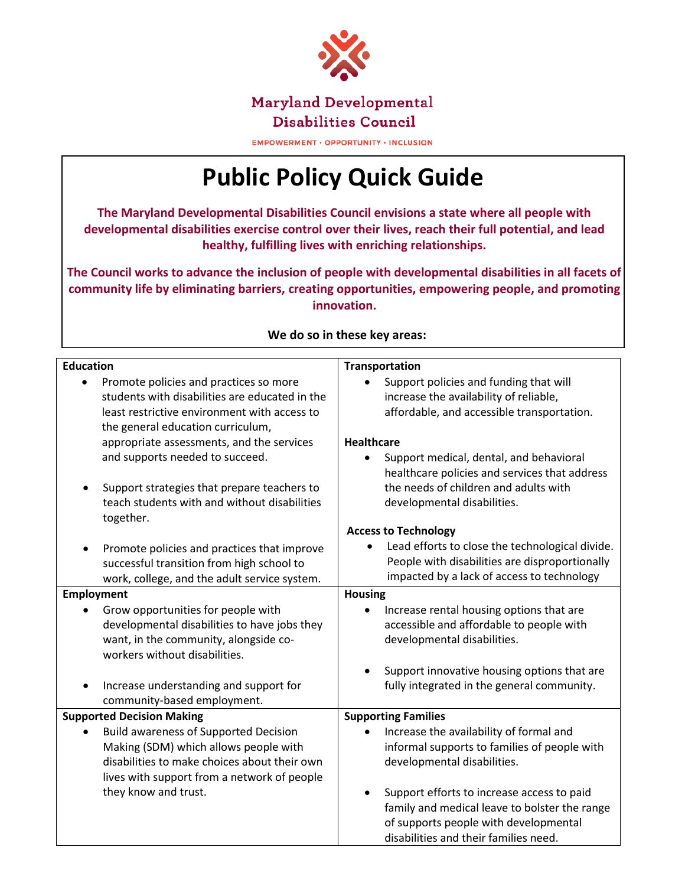

**Disabilities Council** 

**EMPOWERMENT · OPPORTUNITY · INCLUSION** 

## **Public Policy Quick Guide**

**The Maryland Developmental Disabilities Council envisions a state where all people with developmental disabilities exercise control over their lives, reach their full potential, and lead healthy, fulfilling lives with enriching relationships.**

**The Council works to advance the inclusion of people with developmental disabilities in all facets of community life by eliminating barriers, creating opportunities, empowering people, and promoting innovation.**

| <b>Education</b>                                                                                                                                                                                                           | <b>Transportation</b>                                                                                                                                            |
|----------------------------------------------------------------------------------------------------------------------------------------------------------------------------------------------------------------------------|------------------------------------------------------------------------------------------------------------------------------------------------------------------|
| Promote policies and practices so more<br>students with disabilities are educated in the<br>least restrictive environment with access to<br>the general education curriculum,<br>appropriate assessments, and the services | Support policies and funding that will<br>increase the availability of reliable,<br>affordable, and accessible transportation.<br><b>Healthcare</b>              |
| and supports needed to succeed.<br>Support strategies that prepare teachers to<br>teach students with and without disabilities<br>together.                                                                                | Support medical, dental, and behavioral<br>healthcare policies and services that address<br>the needs of children and adults with<br>developmental disabilities. |
|                                                                                                                                                                                                                            | <b>Access to Technology</b>                                                                                                                                      |
| Promote policies and practices that improve<br>successful transition from high school to<br>work, college, and the adult service system.                                                                                   | Lead efforts to close the technological divide.<br>People with disabilities are disproportionally<br>impacted by a lack of access to technology                  |
| Employment                                                                                                                                                                                                                 | <b>Housing</b>                                                                                                                                                   |
| Grow opportunities for people with<br>developmental disabilities to have jobs they<br>want, in the community, alongside co-<br>workers without disabilities.                                                               | Increase rental housing options that are<br>accessible and affordable to people with<br>developmental disabilities.                                              |
|                                                                                                                                                                                                                            | Support innovative housing options that are                                                                                                                      |
| Increase understanding and support for<br>community-based employment.                                                                                                                                                      | fully integrated in the general community.                                                                                                                       |
| <b>Supported Decision Making</b>                                                                                                                                                                                           | <b>Supporting Families</b>                                                                                                                                       |
| <b>Build awareness of Supported Decision</b>                                                                                                                                                                               | Increase the availability of formal and                                                                                                                          |
| Making (SDM) which allows people with                                                                                                                                                                                      | informal supports to families of people with                                                                                                                     |
| disabilities to make choices about their own<br>lives with support from a network of people                                                                                                                                | developmental disabilities.                                                                                                                                      |
| they know and trust.                                                                                                                                                                                                       | Support efforts to increase access to paid                                                                                                                       |
|                                                                                                                                                                                                                            | family and medical leave to bolster the range                                                                                                                    |
|                                                                                                                                                                                                                            | of supports people with developmental<br>disabilities and their families need.                                                                                   |

## **We do so in these key areas:**